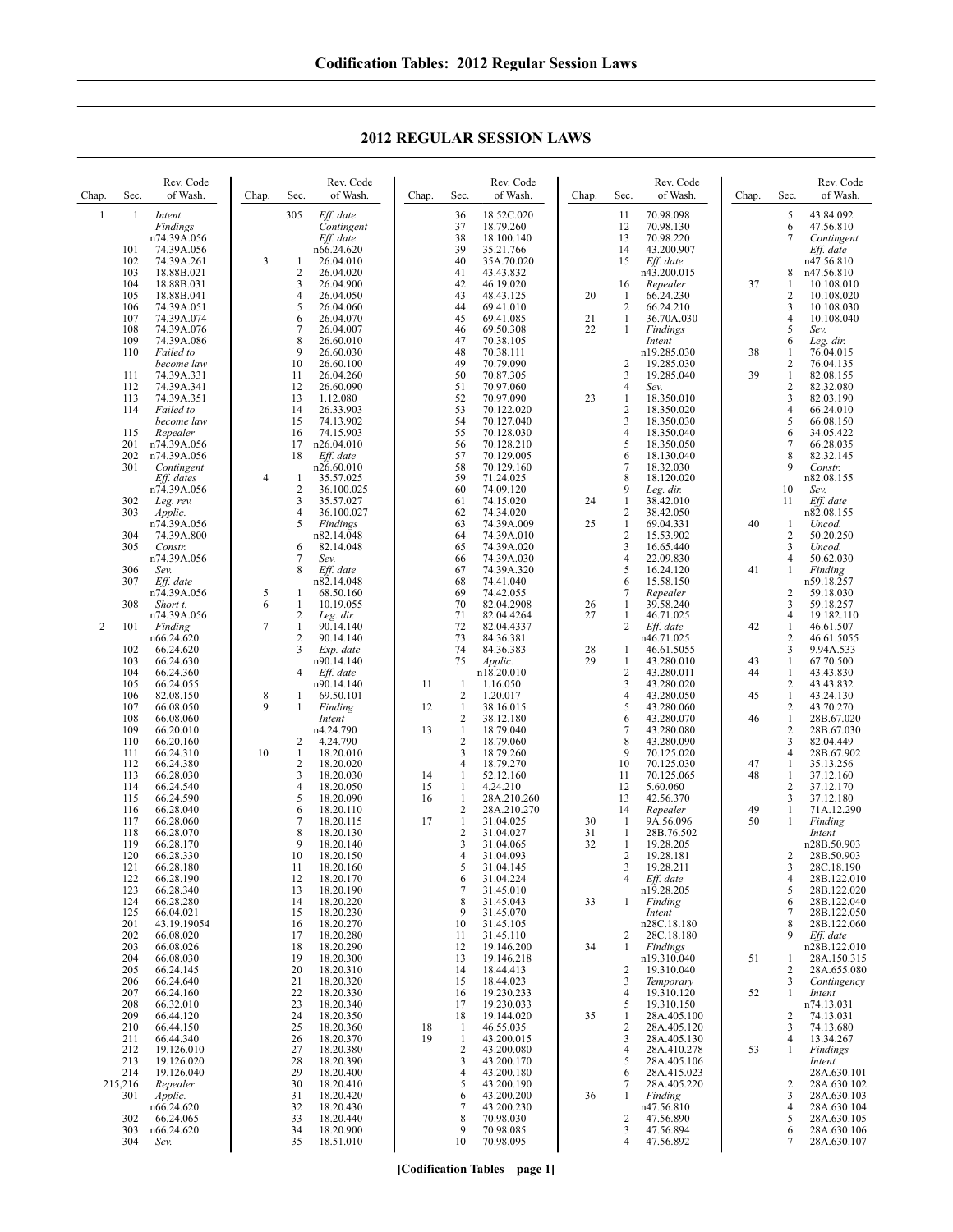**2012 REGULAR SESSION LAWS**

| Chap.          | Sec.           | Rev. Code<br>of Wash.             | Chap.            | Sec.                           | Rev. Code<br>of Wash.                | Chap.    | Sec.                           | Rev. Code<br>of Wash.                 | Chap.    | Sec.                             | Rev. Code<br>of Wash.               | Chap.    | Sec.                           | Rev. Code<br>of Wash.                |
|----------------|----------------|-----------------------------------|------------------|--------------------------------|--------------------------------------|----------|--------------------------------|---------------------------------------|----------|----------------------------------|-------------------------------------|----------|--------------------------------|--------------------------------------|
| $\mathbf{1}$   | $\mathbf{1}$   | Intent<br>Findings<br>n74.39A.056 |                  | 305                            | Eff. date<br>Contingent<br>Eff. date |          | 36<br>37<br>38                 | 18.52C.020<br>18.79.260<br>18.100.140 |          | 11<br>12<br>13                   | 70.98.098<br>70.98.130<br>70.98.220 |          | 5<br>6<br>7                    | 43.84.092<br>47.56.810<br>Contingent |
|                | 101<br>102     | 74.39A.056<br>74.39A.261          | 3                | 1                              | n66.24.620<br>26.04.010              |          | 39<br>40                       | 35.21.766<br>35A.70.020               |          | 14<br>15                         | 43.200.907<br>Eff. date             |          |                                | Eff. date<br>n47.56.810              |
|                | 103<br>104     | 18.88B.021<br>18.88B.031          |                  | 2<br>3                         | 26.04.020<br>26.04.900               |          | 41<br>42                       | 43.43.832<br>46.19.020                |          | 16                               | n43.200.015<br>Repealer             | 37       | 8<br>1                         | n47.56.810<br>10.108.010             |
|                | 105<br>106     | 18.88B.041<br>74.39A.051          |                  | $\overline{4}$<br>5            | 26.04.050<br>26.04.060               |          | 43<br>44                       | 48.43.125<br>69.41.010                | 20       | -1<br>$\overline{2}$             | 66.24.230<br>66.24.210              |          | 2<br>3                         | 10.108.020<br>10.108.030             |
|                | 107<br>108     | 74.39A.074<br>74.39A.076          |                  | 6<br>7                         | 26.04.070<br>26.04.007               |          | 45<br>46                       | 69.41.085<br>69.50.308                | 21<br>22 | $\mathbf{1}$<br>1                | 36.70A.030<br>Findings              |          | $\overline{\mathbf{4}}$<br>5   | 10.108.040<br>Sev.                   |
|                | 109            | 74.39A.086                        |                  | 8                              | 26.60.010                            |          | 47                             | 70.38.105                             |          |                                  | Intent                              |          | 6                              | Leg. dir.                            |
|                | 110            | Failed to<br>become law           |                  | 9<br>10                        | 26.60.030<br>26.60.100               |          | 48<br>49                       | 70.38.111<br>70.79.090                |          | $\overline{c}$                   | n19.285.030<br>19.285.030           | 38       | 1<br>2                         | 76.04.015<br>76.04.135               |
|                | 111<br>112     | 74.39A.331<br>74.39A.341          |                  | 11<br>12                       | 26.04.260<br>26.60.090               |          | 50<br>51                       | 70.87.305<br>70.97.060                |          | 3<br>$\overline{4}$              | 19.285.040<br>Sev.                  | 39       | $\mathbf{1}$<br>2              | 82.08.155<br>82.32.080               |
|                | 113<br>114     | 74.39A.351<br>Failed to           |                  | 13<br>14                       | 1.12.080<br>26.33.903                |          | 52<br>53                       | 70.97.090<br>70.122.020               | 23       | $\mathbf{1}$<br>$\overline{2}$   | 18.350.010<br>18.350.020            |          | 3<br>4                         | 82.03.190<br>66.24.010               |
|                | 115            | become law<br>Repealer            |                  | 15<br>16                       | 74.13.902<br>74.15.903               |          | 54<br>55                       | 70.127.040<br>70.128.030              |          | 3<br>$\overline{4}$              | 18.350.030<br>18.350.040            |          | 5<br>6                         | 66.08.150<br>34.05.422               |
|                | 201<br>202     | n74.39A.056<br>n74.39A.056        |                  | 17<br>18                       | n26.04.010<br>Eff. date              |          | 56<br>57                       | 70.128.210<br>70.129.005              |          | 5<br>6                           | 18.350.050<br>18.130.040            |          | 7<br>8                         | 66.28.035<br>82.32.145               |
|                | 301            | Contingent<br>Eff. dates          | $\overline{4}$   | -1                             | n26.60.010<br>35.57.025              |          | 58<br>59                       | 70.129.160<br>71.24.025               |          | $\overline{7}$<br>8              | 18.32.030<br>18.120.020             |          | 9                              | Constr.<br>n82.08.155                |
|                |                | n74.39A.056                       |                  | $\overline{c}$                 | 36.100.025                           |          | 60                             | 74.09.120                             |          | 9                                | Leg. dir.                           |          | 10                             | Sev.                                 |
|                | 302<br>303     | Leg. rev.<br>Applic.              |                  | 3<br>4                         | 35.57.027<br>36.100.027              |          | 61<br>62                       | 74.15.020<br>74.34.020                | 24       | 1<br>$\overline{2}$              | 38.42.010<br>38.42.050              |          | 11                             | Eff. date<br>n82.08.155              |
|                | 304            | n74.39A.056<br>74.39A.800         |                  | 5                              | Findings<br>n82.14.048               |          | 63<br>64                       | 74.39A.009<br>74.39A.010              | 25       | $\mathbf{1}$<br>$\overline{2}$   | 69.04.331<br>15.53.902              | 40       | 1<br>2                         | Uncod.<br>50.20.250                  |
|                | 305            | Constr.<br>n74.39A.056            |                  | 6<br>7                         | 82.14.048<br>Sev.                    |          | 65<br>66                       | 74.39A.020<br>74.39A.030              |          | 3<br>$\overline{4}$              | 16.65.440<br>22.09.830              |          | 3<br>4                         | Uncod.<br>50.62.030                  |
|                | 306<br>307     | Sev.<br>Eff. date                 |                  | 8                              | Eff. date<br>n82.14.048              |          | 67<br>68                       | 74.39A.320<br>74.41.040               |          | 5<br>6                           | 16.24.120<br>15.58.150              | 41       | 1                              | Finding<br>n59.18.257                |
|                | 308            | n74.39A.056<br>Short t.           | $\sqrt{5}$<br>6  | -1<br>1                        | 68.50.160<br>10.19.055               |          | 69<br>70                       | 74.42.055<br>82.04.2908               | 26       | 7<br>1                           | Repealer<br>39.58.240               |          | 2<br>3                         | 59.18.030<br>59.18.257               |
| $\overline{2}$ |                | n74.39A.056                       | $\overline{7}$   | $\overline{c}$<br>$\mathbf{1}$ | Leg. dir.                            |          | 71<br>72                       | 82.04.4264                            | 27       | 1<br>2                           | 46.71.025                           | 42       | 4                              | 19.182.110                           |
|                | 101            | Finding<br>n66.24.620             |                  | $\overline{c}$                 | 90.14.140<br>90.14.140               |          | 73                             | 82.04.4337<br>84.36.381               |          |                                  | Eff. date<br>n46.71.025             |          | 1<br>$\overline{c}$            | 46.61.507<br>46.61.5055              |
|                | 102<br>103     | 66.24.620<br>66.24.630            |                  | 3                              | Exp. date<br>n90.14.140              |          | 74<br>75                       | 84.36.383<br>Applic.                  | 28<br>29 | 1<br>$\mathbf{1}$                | 46.61.5055<br>43.280.010            | 43       | 3<br>$\mathbf{1}$              | 9.94A.533<br>67.70.500               |
|                | 104<br>105     | 66.24.360<br>66.24.055            |                  | 4                              | Eff. date<br>n90.14.140              | 11       | -1                             | n18.20.010<br>1.16.050                |          | $\overline{c}$<br>3              | 43.280.011<br>43.280.020            | 44       | $\mathbf{1}$<br>2              | 43.43.830<br>43.43.832               |
|                | 106<br>107     | 82.08.150<br>66.08.050            | $\,$ 8 $\,$<br>9 | 1<br>1                         | 69.50.101<br>Finding                 | 12       | $\overline{2}$<br>$\mathbf{1}$ | 1.20.017<br>38.16.015                 |          | $\overline{4}$<br>5              | 43.280.050<br>43.280.060            | 45       | $\mathbf{1}$<br>2              | 43.24.130<br>43.70.270               |
|                | 108<br>109     | 66.08.060<br>66.20.010            |                  |                                | Intent<br>n4.24.790                  | 13       | $\sqrt{2}$<br>$\mathbf{1}$     | 38.12.180<br>18.79.040                |          | 6<br>$\overline{7}$              | 43.280.070<br>43.280.080            | 46       | $\mathbf{1}$<br>$\overline{c}$ | 28B.67.020<br>28B.67.030             |
|                | 110<br>111     | 66.20.160<br>66.24.310            | 10               | 2<br>1                         | 4.24.790<br>18.20.010                |          | $\overline{2}$<br>3            | 18.79.060<br>18.79.260                |          | 8<br>9                           | 43.280.090<br>70.125.020            |          | 3<br>$\overline{4}$            | 82.04.449<br>28B.67.902              |
|                | 112<br>113     | 66.24.380<br>66.28.030            |                  | 2<br>3                         | 18.20.020<br>18.20.030               | 14       | $\overline{4}$<br>$\mathbf{1}$ | 18.79.270<br>52.12.160                |          | 10<br>11                         | 70.125.030<br>70.125.065            | 47<br>48 | $\mathbf{1}$<br>$\mathbf{1}$   | 35.13.256<br>37.12.160               |
|                | 114<br>115     | 66.24.540<br>66.24.590            |                  | 4<br>5                         | 18.20.050<br>18.20.090               | 15<br>16 | 1<br>$\mathbf{1}$              | 4.24.210<br>28A.210.260               |          | 12<br>13                         | 5.60.060<br>42.56.370               |          | 2<br>3                         | 37.12.170<br>37.12.180               |
|                | 116            | 66.28.040                         |                  | 6<br>7                         | 18.20.110                            | 17       | $\overline{c}$<br>$\mathbf{1}$ | 28A.210.270                           |          | 14<br>-1                         | Repealer                            | 49<br>50 | 1<br>1                         | 71A.12.290                           |
|                | 117<br>118     | 66.28.060<br>66.28.070            |                  | 8                              | 18.20.115<br>18.20.130               |          | $\overline{c}$                 | 31.04.025<br>31.04.027                | 30<br>31 | -1                               | 9A.56.096<br>28B.76.502             |          |                                | Finding<br>Intent                    |
|                | 119<br>120     | 66.28.170<br>66.28.330            |                  | 9<br>10                        | 18.20.140<br>18.20.150               |          | 3<br>4                         | 31.04.065<br>31.04.093                | 32       | $\mathbf{1}$<br>$\overline{2}$   | 19.28.205<br>19.28.181              |          | 2                              | n28B.50.903<br>28B.50.903            |
|                | 121<br>122     | 66.28.180<br>66.28.190            |                  | 11<br>12                       | 18.20.160<br>18.20.170               |          | 5<br>6                         | 31.04.145<br>31.04.224                |          | 3<br>$\overline{4}$              | 19.28.211<br>Eff. date              |          | 3<br>4                         | 28C.18.190<br>28B.122.010            |
|                | 123<br>124     | 66.28.340<br>66.28.280            |                  | 13<br>14                       | 18.20.190<br>18.20.220               |          | 7<br>8                         | 31.45.010<br>31.45.043                | 33       | -1                               | n19.28.205<br>Finding               |          | 5<br>6                         | 28B.122.020<br>28B.122.040           |
|                | 125<br>201     | 66.04.021<br>43.19.19054          |                  | 15<br>16                       | 18.20.230<br>18.20.270               |          | 9<br>10                        | 31.45.070<br>31.45.105                |          |                                  | Intent<br>n28C.18.180               |          | 7<br>8                         | 28B.122.050<br>28B.122.060           |
|                | 202<br>203     | 66.08.020<br>66.08.026            |                  | 17<br>18                       | 18.20.280<br>18.20.290               |          | 11<br>12                       | 31.45.110<br>19.146.200               | 34       | 2<br>1                           | 28C.18.180<br>Findings              |          | 9                              | Eff. date<br>n28B.122.010            |
|                | 204<br>205     | 66.08.030<br>66.24.145            |                  | 19<br>20                       | 18.20.300<br>18.20.310               |          | 13<br>14                       | 19.146.218<br>18.44.413               |          | $\overline{c}$                   | n19.310.040<br>19.310.040           | 51       | 1<br>2                         | 28A.150.315<br>28A.655.080           |
|                | 206<br>207     | 66.24.640<br>66.24.160            |                  | 21<br>22                       | 18.20.320<br>18.20.330               |          | 15<br>16                       | 18.44.023<br>19.230.233               |          | $\mathfrak{Z}$<br>$\overline{4}$ | Temporary<br>19.310.120             | 52       | 3<br>1                         | Contingency<br>Intent                |
|                | 208            | 66.32.010                         |                  | 23                             | 18.20.340                            |          | 17                             | 19.230.033                            |          | 5                                | 19.310.150                          |          |                                | n74.13.031                           |
|                | 209<br>210     | 66.44.120<br>66.44.150            |                  | 24<br>25                       | 18.20.350<br>18.20.360               | 18       | 18<br>$\mathbf{1}$             | 19.144.020<br>46.55.035               | 35       | -1<br>$\sqrt{2}$                 | 28A.405.100<br>28A.405.120          |          | 2<br>3                         | 74.13.031<br>74.13.680               |
|                | 211<br>212     | 66.44.340<br>19.126.010           |                  | 26<br>27                       | 18.20.370<br>18.20.380               | 19       | $\mathbf{1}$<br>$\sqrt{2}$     | 43.200.015<br>43.200.080              |          | 3<br>$\overline{4}$              | 28A.405.130<br>28A.410.278          | 53       | 4<br>1                         | 13.34.267<br>Findings                |
|                | 213<br>214     | 19.126.020<br>19.126.040          |                  | 28<br>29                       | 18.20.390<br>18.20.400               |          | 3<br>4                         | 43.200.170<br>43.200.180              |          | 5<br>6                           | 28A.405.106<br>28A.415.023          |          |                                | Intent<br>28A.630.101                |
|                | 215,216<br>301 | Repealer<br>Applic.               |                  | 30<br>31                       | 18.20.410<br>18.20.420               |          | 5<br>6                         | 43.200.190<br>43.200.200              | 36       | 7<br>-1                          | 28A.405.220<br>Finding              |          | 2<br>3                         | 28A.630.102<br>28A.630.103           |
|                | 302            | n66.24.620<br>66.24.065           |                  | 32<br>33                       | 18.20.430<br>18.20.440               |          | 7<br>8                         | 43.200.230<br>70.98.030               |          | $\overline{c}$                   | n47.56.810<br>47.56.890             |          | 4<br>5                         | 28A.630.104<br>28A.630.105           |
|                | 303<br>304     | n66.24.620<br>Sev.                |                  | 34<br>35                       | 18.20.900<br>18.51.010               |          | 9<br>10                        | 70.98.085<br>70.98.095                |          | 3<br>4                           | 47.56.894<br>47.56.892              |          | 6<br>7                         | 28A.630.106<br>28A.630.107           |

**[Codification Tables—page 1]**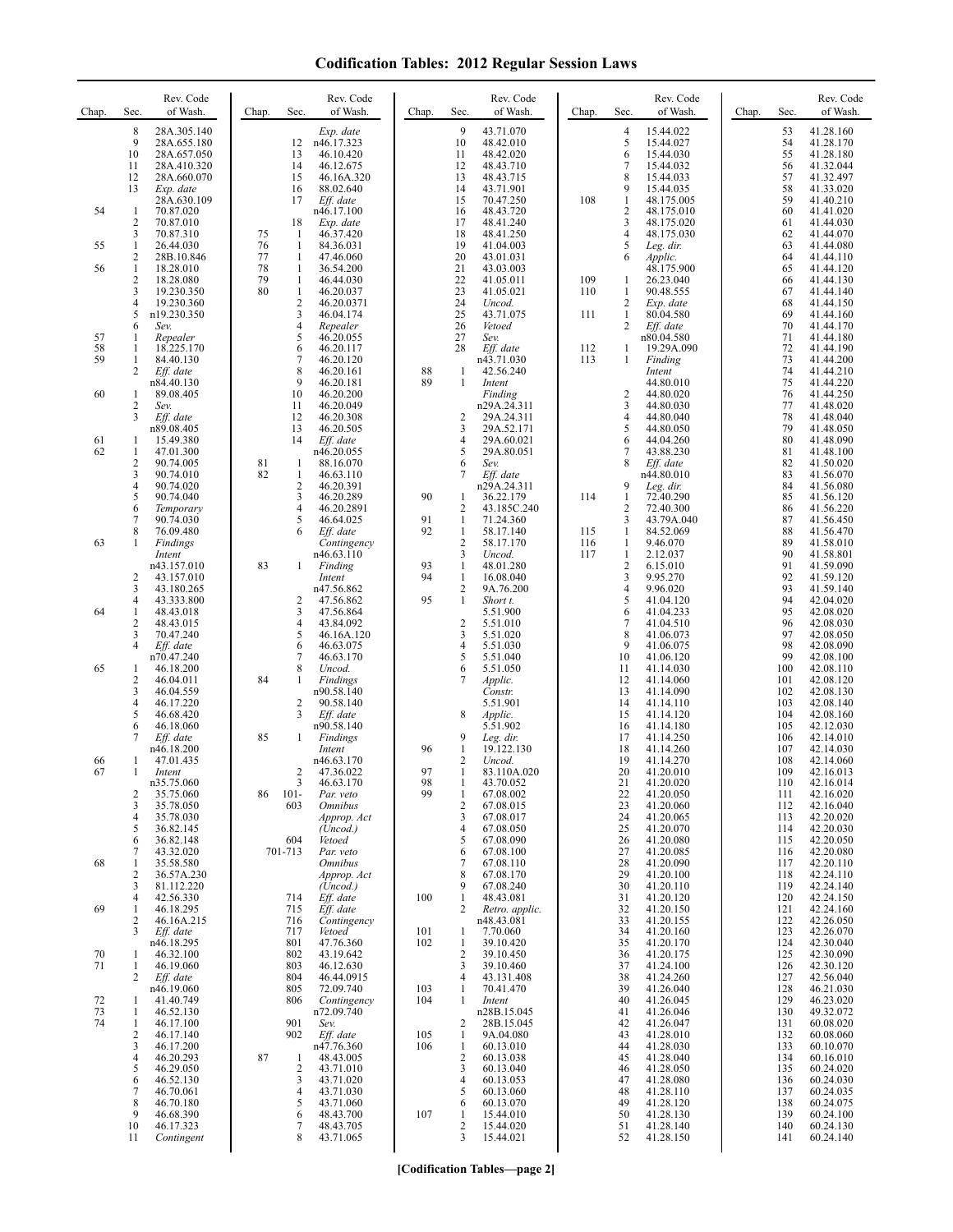| Chap.    | Sec.                                | Rev. Code<br>of Wash.                                                                               | Chap.          | Sec.                               | Rev. Code<br>of Wash.                                                                     | Chap.      | Sec.                                           | Rev. Code<br>of Wash.                                                                   | Chap.      | Sec.                                                                 | Rev. Code<br>of Wash.                                                                    | Chap. | Sec.                                   | Rev. Code<br>of Wash.                                                                   |
|----------|-------------------------------------|-----------------------------------------------------------------------------------------------------|----------------|------------------------------------|-------------------------------------------------------------------------------------------|------------|------------------------------------------------|-----------------------------------------------------------------------------------------|------------|----------------------------------------------------------------------|------------------------------------------------------------------------------------------|-------|----------------------------------------|-----------------------------------------------------------------------------------------|
|          | 8<br>9<br>10<br>11<br>12<br>13      | 28A.305.140<br>28A.655.180<br>28A.657.050<br>28A.410.320<br>28A.660.070<br>Exp. date<br>28A.630.109 |                | 12<br>13<br>14<br>15<br>16<br>17   | Exp. date<br>n46.17.323<br>46.10.420<br>46.12.675<br>46.16A.320<br>88.02.640<br>Eff. date |            | 9<br>10<br>11<br>12<br>13<br>14<br>15          | 43.71.070<br>48.42.010<br>48.42.020<br>48.43.710<br>48.43.715<br>43.71.901<br>70.47.250 | 108        | $\overline{4}$<br>5<br>6<br>$\overline{7}$<br>8<br>9<br>$\mathbf{1}$ | 15.44.022<br>15.44.027<br>15.44.030<br>15.44.032<br>15.44.033<br>15.44.035<br>48.175.005 |       | 53<br>54<br>55<br>56<br>57<br>58<br>59 | 41.28.160<br>41.28.170<br>41.28.180<br>41.32.044<br>41.32.497<br>41.33.020<br>41.40.210 |
| 54       | $\mathbf{1}$<br>$\sqrt{2}$          | 70.87.020<br>70.87.010                                                                              |                | 18                                 | n46.17.100<br>Exp. date                                                                   |            | 16<br>17                                       | 48.43.720<br>48.41.240                                                                  |            | $\overline{2}$<br>3                                                  | 48.175.010<br>48.175.020                                                                 |       | 60<br>61                               | 41.41.020<br>41.44.030                                                                  |
| 55       | 3<br>$\mathbf{1}$<br>$\overline{c}$ | 70.87.310<br>26.44.030<br>28B.10.846                                                                | 75<br>76<br>77 | -1<br>$\mathbf{1}$<br>$\mathbf{1}$ | 46.37.420<br>84.36.031<br>47.46.060                                                       |            | 18<br>19<br>20                                 | 48.41.250<br>41.04.003<br>43.01.031                                                     |            | $\overline{4}$<br>5<br>6                                             | 48.175.030<br>Leg. dir.<br>Applic.                                                       |       | 62<br>63<br>64                         | 41.44.070<br>41.44.080<br>41.44.110                                                     |
| 56       | $\mathbf{1}$<br>$\sqrt{2}$          | 18.28.010<br>18.28.080                                                                              | 78<br>79       | $\mathbf{1}$<br>1                  | 36.54.200<br>46.44.030                                                                    |            | 21<br>22                                       | 43.03.003<br>41.05.011                                                                  | 109        | 1                                                                    | 48.175.900<br>26.23.040                                                                  |       | 65<br>66                               | 41.44.120<br>41.44.130                                                                  |
|          | 3<br>$\overline{4}$<br>5            | 19.230.350<br>19.230.360<br>n19.230.350                                                             | 80             | 1<br>$\sqrt{2}$<br>3               | 46.20.037<br>46.20.0371<br>46.04.174                                                      |            | 23<br>24<br>25                                 | 41.05.021<br>Uncod.<br>43.71.075                                                        | 110<br>111 | 1<br>$\overline{2}$<br>1                                             | 90.48.555<br>Exp. date<br>80.04.580                                                      |       | 67<br>68<br>69                         | 41.44.140<br>41.44.150<br>41.44.160                                                     |
| 57       | 6<br>-1                             | Sev.<br>Repealer                                                                                    |                | $\overline{4}$<br>5                | Repealer<br>46.20.055                                                                     |            | 26<br>27                                       | Vetoed<br>Sev.                                                                          |            | $\overline{2}$                                                       | Eff. date<br>n80.04.580                                                                  |       | 70<br>71                               | 41.44.170<br>41.44.180                                                                  |
| 58<br>59 | 1<br>1<br>2                         | 18.225.170<br>84.40.130<br>Eff. date                                                                |                | 6<br>$\overline{7}$<br>8           | 46.20.117<br>46.20.120<br>46.20.161                                                       | 88         | 28<br>1                                        | Eff. date<br>n43.71.030<br>42.56.240                                                    | 112<br>113 | 1<br>1                                                               | 19.29A.090<br>Finding<br>Intent                                                          |       | 72<br>73<br>74                         | 41.44.190<br>41.44.200<br>41.44.210                                                     |
| 60       | 1                                   | n84.40.130<br>89.08.405                                                                             |                | 9<br>10                            | 46.20.181<br>46.20.200                                                                    | 89         | $\mathbf{1}$                                   | Intent<br>Finding                                                                       |            | $\overline{c}$                                                       | 44.80.010<br>44.80.020                                                                   |       | 75<br>76                               | 41.44.220<br>41.44.250                                                                  |
|          | $\sqrt{2}$<br>3                     | Sev.<br>Eff. date<br>n89.08.405                                                                     |                | 11<br>12<br>13                     | 46.20.049<br>46.20.308<br>46.20.505                                                       |            | 2<br>3                                         | n29A.24.311<br>29A.24.311<br>29A.52.171                                                 |            | $\mathfrak{Z}$<br>$\overline{4}$<br>5                                | 44.80.030<br>44.80.040<br>44.80.050                                                      |       | 77<br>78<br>79                         | 41.48.020<br>41.48.040<br>41.48.050                                                     |
| 61<br>62 | 1<br>$\mathbf{1}$                   | 15.49.380<br>47.01.300                                                                              |                | 14                                 | Eff. date<br>n46.20.055                                                                   |            | 4<br>5                                         | 29A.60.021<br>29A.80.051                                                                |            | 6<br>7                                                               | 44.04.260<br>43.88.230                                                                   |       | 80<br>81                               | 41.48.090<br>41.48.100                                                                  |
|          | $\sqrt{2}$<br>3<br>$\overline{4}$   | 90.74.005<br>90.74.010<br>90.74.020                                                                 | 81<br>82       | 1<br>1<br>2                        | 88.16.070<br>46.63.110<br>46.20.391                                                       |            | 6<br>7                                         | Sev.<br>Eff. date<br>n29A.24.311                                                        |            | 8<br>9                                                               | Eff. date<br>n44.80.010<br>Leg. dir.                                                     |       | 82<br>83<br>84                         | 41.50.020<br>41.56.070<br>41.56.080                                                     |
|          | 5<br>6                              | 90.74.040<br>Temporary                                                                              |                | 3<br>$\overline{4}$                | 46.20.289<br>46.20.2891                                                                   | 90         | 1<br>2                                         | 36.22.179<br>43.185C.240                                                                | 114        | $\mathbf{1}$<br>$\overline{2}$                                       | 72.40.290<br>72.40.300                                                                   |       | 85<br>86                               | 41.56.120<br>41.56.220                                                                  |
| 63       | 7<br>8<br>-1                        | 90.74.030<br>76.09.480<br>Findings                                                                  |                | 5<br>6                             | 46.64.025<br>Eff. date<br>Contingency                                                     | 91<br>92   | 1<br>$\mathbf{1}$<br>$\overline{c}$            | 71.24.360<br>58.17.140<br>58.17.170                                                     | 115<br>116 | 3<br>$\mathbf{1}$<br>1                                               | 43.79A.040<br>84.52.069<br>9.46.070                                                      |       | 87<br>88<br>89                         | 41.56.450<br>41.56.470<br>41.58.010                                                     |
|          |                                     | Intent<br>n43.157.010                                                                               | 83             | $\mathbf{1}$                       | n46.63.110<br>Finding                                                                     | 93         | 3<br>1                                         | Uncod.<br>48.01.280                                                                     | 117        | $\mathbf{1}$<br>$\sqrt{2}$                                           | 2.12.037<br>6.15.010                                                                     |       | 90<br>91                               | 41.58.801<br>41.59.090                                                                  |
|          | 2<br>3<br>$\overline{4}$            | 43.157.010<br>43.180.265<br>43.333.800                                                              |                | 2                                  | Intent<br>n47.56.862<br>47.56.862                                                         | 94<br>95   | $\mathbf{1}$<br>$\overline{c}$<br>$\mathbf{1}$ | 16.08.040<br>9A.76.200<br>Short t.                                                      |            | 3<br>$\overline{4}$<br>5                                             | 9.95.270<br>9.96.020<br>41.04.120                                                        |       | 92<br>93<br>94                         | 41.59.120<br>41.59.140<br>42.04.020                                                     |
| 64       | 1<br>$\overline{c}$                 | 48.43.018<br>48.43.015                                                                              |                | 3<br>4                             | 47.56.864<br>43.84.092                                                                    |            | $\sqrt{2}$                                     | 5.51.900<br>5.51.010                                                                    |            | 6<br>$\overline{7}$                                                  | 41.04.233<br>41.04.510                                                                   |       | 95<br>96                               | 42.08.020<br>42.08.030                                                                  |
|          | 3<br>$\overline{4}$                 | 70.47.240<br>Eff. date<br>n70.47.240                                                                |                | 5<br>6<br>7                        | 46.16A.120<br>46.63.075<br>46.63.170                                                      |            | 3<br>4<br>5                                    | 5.51.020<br>5.51.030<br>5.51.040                                                        |            | 8<br>9<br>10                                                         | 41.06.073<br>41.06.075<br>41.06.120                                                      |       | 97<br>98<br>99                         | 42.08.050<br>42.08.090<br>42.08.100                                                     |
| 65       | 1<br>2                              | 46.18.200<br>46.04.011                                                                              | 84             | 8<br>1                             | Uncod.<br>Findings                                                                        |            | 6<br>7                                         | 5.51.050<br>Applic.                                                                     |            | 11<br>12                                                             | 41.14.030<br>41.14.060                                                                   |       | 100<br>101                             | 42.08.110<br>42.08.120                                                                  |
|          | 3<br>$\overline{4}$<br>5            | 46.04.559<br>46.17.220<br>46.68.420                                                                 |                | 2<br>3                             | n90.58.140<br>90.58.140<br>Eff. date                                                      |            | 8                                              | Constr.<br>5.51.901<br>Applic.                                                          |            | 13<br>14<br>15                                                       | 41.14.090<br>41.14.110<br>41.14.120                                                      |       | 102<br>103<br>104                      | 42.08.130<br>42.08.140<br>42.08.160                                                     |
|          | 6<br>$\overline{7}$                 | 46.18.060<br>Eff. date                                                                              | 85             | 1                                  | n90.58.140<br>Findings                                                                    |            | 9                                              | 5.51.902<br>Leg. dir.                                                                   |            | 16<br>17                                                             | 41.14.180<br>41.14.250                                                                   |       | 105<br>106                             | 42.12.030<br>42.14.010                                                                  |
| 66<br>67 | 1<br>1                              | n46.18.200<br>47.01.435<br>Intent                                                                   |                | 2                                  | Intent<br>n46.63.170<br>47.36.022                                                         | 96<br>97   | 1<br>2<br>1                                    | 19.122.130<br>Uncod.<br>83.110A.020                                                     |            | 18<br>19<br>20                                                       | 41.14.260<br>41.14.270<br>41.20.010                                                      |       | 107<br>108<br>109                      | 42.14.030<br>42.14.060<br>42.16.013                                                     |
|          | 2<br>3                              | n35.75.060<br>35.75.060                                                                             | 86             | 3<br>$101 -$<br>603                | 46.63.170<br>Par. veto                                                                    | 98<br>99   | 1<br>$\overline{2}$                            | 43.70.052<br>67.08.002<br>67.08.015                                                     |            | 21<br>22<br>23                                                       | 41.20.020<br>41.20.050<br>41.20.060                                                      |       | 110<br>111                             | 42.16.014<br>42.16.020                                                                  |
|          | $\overline{4}$<br>5                 | 35.78.050<br>35.78.030<br>36.82.145                                                                 |                |                                    | <i><b>Omnibus</b></i><br>Approp. Act<br>(Uncod.)                                          |            | 3<br>4                                         | 67.08.017<br>67.08.050                                                                  |            | 24<br>25                                                             | 41.20.065<br>41.20.070                                                                   |       | 112<br>113<br>114                      | 42.16.040<br>42.20.020<br>42.20.030                                                     |
| 68       | 6<br>7<br>1                         | 36.82.148<br>43.32.020<br>35.58.580                                                                 |                | 604<br>701-713                     | Vetoed<br>Par. veto<br><i><b>Omnibus</b></i>                                              |            | 5<br>6<br>7                                    | 67.08.090<br>67.08.100<br>67.08.110                                                     |            | 26<br>27<br>28                                                       | 41.20.080<br>41.20.085<br>41.20.090                                                      |       | 115<br>116<br>117                      | 42.20.050<br>42.20.080<br>42.20.110                                                     |
|          | $\overline{2}$<br>3                 | 36.57A.230<br>81.112.220                                                                            |                |                                    | Approp. Act<br>(Uncod.)                                                                   |            | 8<br>9                                         | 67.08.170<br>67.08.240                                                                  |            | 29<br>30                                                             | 41.20.100<br>41.20.110                                                                   |       | 118<br>119                             | 42.24.110<br>42.24.140                                                                  |
| 69       | 4<br>1<br>2                         | 42.56.330<br>46.18.295<br>46.16A.215                                                                |                | 714<br>715<br>716                  | Eff. date<br>Eff. date<br>Contingency                                                     | 100        | 1<br>2                                         | 48.43.081<br>Retro. applic.<br>n48.43.081                                               |            | 31<br>32<br>33                                                       | 41.20.120<br>41.20.150<br>41.20.155                                                      |       | 120<br>121<br>122                      | 42.24.150<br>42.24.160<br>42.26.050                                                     |
|          | 3                                   | Eff. date<br>n46.18.295                                                                             |                | 717<br>801                         | Vetoed<br>47.76.360                                                                       | 101<br>102 | $\mathbf{1}$<br>$\mathbf{1}$                   | 7.70.060<br>39.10.420                                                                   |            | 34<br>35                                                             | 41.20.160<br>41.20.170                                                                   |       | 123<br>124                             | 42.26.070<br>42.30.040                                                                  |
| 70<br>71 | 1<br>1<br>2                         | 46.32.100<br>46.19.060<br>Eff. date                                                                 |                | 802<br>803<br>804                  | 43.19.642<br>46.12.630<br>46.44.0915                                                      |            | $\overline{2}$<br>3<br>4                       | 39.10.450<br>39.10.460<br>43.131.408                                                    |            | 36<br>37<br>38                                                       | 41.20.175<br>41.24.100<br>41.24.260                                                      |       | 125<br>126<br>127                      | 42.30.090<br>42.30.120<br>42.56.040                                                     |
| 72       | 1                                   | n46.19.060<br>41.40.749                                                                             |                | 805<br>806                         | 72.09.740<br>Contingency                                                                  | 103<br>104 | $\mathbf{1}$<br>$\mathbf{1}$                   | 70.41.470<br>Intent                                                                     |            | 39<br>40                                                             | 41.26.040<br>41.26.045                                                                   |       | 128<br>129                             | 46.21.030<br>46.23.020                                                                  |
| 73<br>74 | 1<br>1<br>2                         | 46.52.130<br>46.17.100<br>46.17.140                                                                 |                | 901<br>902                         | n72.09.740<br>Sev.<br>Eff. date                                                           | 105        | 2<br>$\mathbf{1}$                              | n28B.15.045<br>28B.15.045<br>9A.04.080                                                  |            | 41<br>42<br>43                                                       | 41.26.046<br>41.26.047<br>41.28.010                                                      |       | 130<br>131<br>132                      | 49.32.072<br>60.08.020<br>60.08.060                                                     |
|          | 3<br>$\overline{4}$<br>5            | 46.17.200<br>46.20.293<br>46.29.050                                                                 | 87             | 1<br>2                             | n47.76.360<br>48.43.005<br>43.71.010                                                      | 106        | $\mathbf{1}$<br>$\overline{c}$<br>3            | 60.13.010<br>60.13.038<br>60.13.040                                                     |            | 44<br>45<br>46                                                       | 41.28.030<br>41.28.040<br>41.28.050                                                      |       | 133<br>134<br>135                      | 60.10.070<br>60.16.010<br>60.24.020                                                     |
|          | 6<br>7                              | 46.52.130<br>46.70.061                                                                              |                | 3<br>4                             | 43.71.020<br>43.71.030                                                                    |            | 4<br>5                                         | 60.13.053<br>60.13.060                                                                  |            | 47<br>48                                                             | 41.28.080<br>41.28.110                                                                   |       | 136<br>137                             | 60.24.030<br>60.24.035                                                                  |
|          | 8<br>9<br>10                        | 46.70.180<br>46.68.390<br>46.17.323                                                                 |                | 5<br>6<br>7                        | 43.71.060<br>48.43.700<br>48.43.705                                                       | 107        | 6<br>1<br>$\overline{c}$                       | 60.13.070<br>15.44.010<br>15.44.020                                                     |            | 49<br>50<br>51                                                       | 41.28.120<br>41.28.130<br>41.28.140                                                      |       | 138<br>139<br>140                      | 60.24.075<br>60.24.100<br>60.24.130                                                     |
|          | 11                                  | Contingent                                                                                          |                | 8                                  | 43.71.065                                                                                 |            | 3                                              | 15.44.021                                                                               |            | 52                                                                   | 41.28.150                                                                                |       | 141                                    | 60.24.140                                                                               |

**[Codification Tables—page 2]**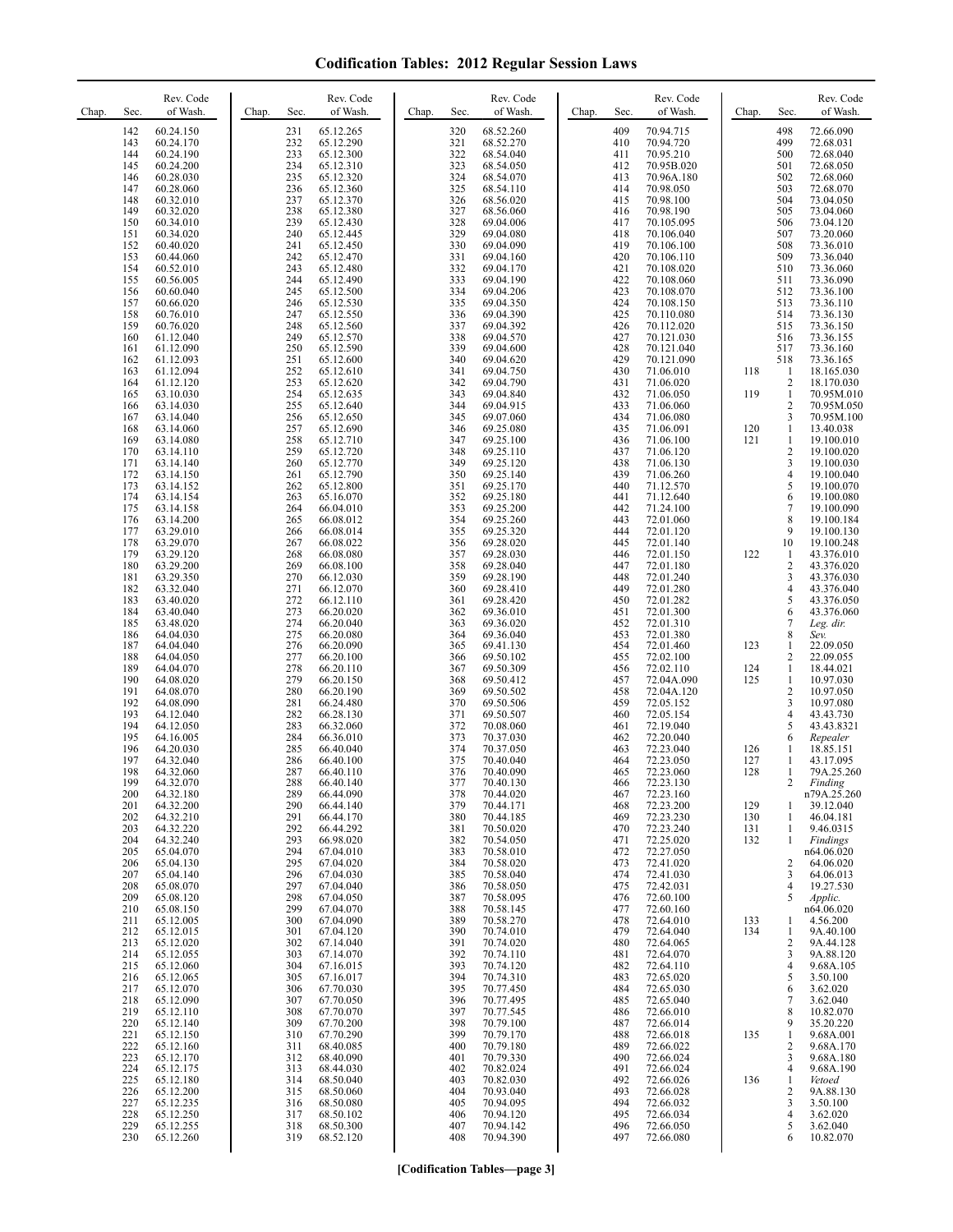| Chap. | Sec.                                                        | Rev. Code<br>of Wash.                                                                                                          | Chap. | Sec.                                                        | Rev. Code<br>of Wash.                                                                                             | Chap. | Sec.                                                        | Rev. Code<br>of Wash.                                                                                             | Chap. | Sec.                                                        | Rev. Code<br>of Wash.                                                                                                      | Chap.                                  | Sec.                                                                             | Rev. Code<br>of Wash.                                                                                                      |
|-------|-------------------------------------------------------------|--------------------------------------------------------------------------------------------------------------------------------|-------|-------------------------------------------------------------|-------------------------------------------------------------------------------------------------------------------|-------|-------------------------------------------------------------|-------------------------------------------------------------------------------------------------------------------|-------|-------------------------------------------------------------|----------------------------------------------------------------------------------------------------------------------------|----------------------------------------|----------------------------------------------------------------------------------|----------------------------------------------------------------------------------------------------------------------------|
|       | 142<br>143<br>144<br>145<br>146<br>147<br>148<br>149<br>150 | 60.24.150<br>60.24.170<br>60.24.190<br>60.24.200<br>60.28.030<br>60.28.060<br>60.32.010<br>60.32.020<br>60.34.010              |       | 231<br>232<br>233<br>234<br>235<br>236<br>237<br>238<br>239 | 65.12.265<br>65.12.290<br>65.12.300<br>65.12.310<br>65.12.320<br>65.12.360<br>65.12.370<br>65.12.380<br>65.12.430 |       | 320<br>321<br>322<br>323<br>324<br>325<br>326<br>327<br>328 | 68.52.260<br>68.52.270<br>68.54.040<br>68.54.050<br>68.54.070<br>68.54.110<br>68.56.020<br>68.56.060<br>69.04.006 |       | 409<br>410<br>411<br>412<br>413<br>414<br>415<br>416<br>417 | 70.94.715<br>70.94.720<br>70.95.210<br>70.95B.020<br>70.96A.180<br>70.98.050<br>70.98.100<br>70.98.190<br>70.105.095       |                                        | 498<br>499<br>500<br>501<br>502<br>503<br>504<br>505<br>506                      | 72.66.090<br>72.68.031<br>72.68.040<br>72.68.050<br>72.68.060<br>72.68.070<br>73.04.050<br>73.04.060<br>73.04.120          |
|       | 151<br>152<br>153<br>154<br>155<br>156<br>157<br>158<br>159 | 60.34.020<br>60.40.020<br>60.44.060<br>60.52.010<br>60.56.005<br>60.60.040<br>60.66.020<br>60.76.010<br>60.76.020              |       | 240<br>241<br>242<br>243<br>244<br>245<br>246<br>247<br>248 | 65.12.445<br>65.12.450<br>65.12.470<br>65.12.480<br>65.12.490<br>65.12.500<br>65.12.530<br>65.12.550<br>65.12.560 |       | 329<br>330<br>331<br>332<br>333<br>334<br>335<br>336<br>337 | 69.04.080<br>69.04.090<br>69.04.160<br>69.04.170<br>69.04.190<br>69.04.206<br>69.04.350<br>69.04.390<br>69.04.392 |       | 418<br>419<br>420<br>421<br>422<br>423<br>424<br>425<br>426 | 70.106.040<br>70.106.100<br>70.106.110<br>70.108.020<br>70.108.060<br>70.108.070<br>70.108.150<br>70.110.080<br>70.112.020 |                                        | 507<br>508<br>509<br>510<br>511<br>512<br>513<br>514<br>515                      | 73.20.060<br>73.36.010<br>73.36.040<br>73.36.060<br>73.36.090<br>73.36.100<br>73.36.110<br>73.36.130<br>73.36.150          |
|       | 160<br>161<br>162<br>163<br>164<br>165<br>166<br>167<br>168 | 61.12.040<br>61.12.090<br>61.12.093<br>61.12.094<br>61.12.120<br>63.10.030<br>63.14.030<br>63.14.040<br>63.14.060              |       | 249<br>250<br>251<br>252<br>253<br>254<br>255<br>256<br>257 | 65.12.570<br>65.12.590<br>65.12.600<br>65.12.610<br>65.12.620<br>65.12.635<br>65.12.640<br>65.12.650<br>65.12.690 |       | 338<br>339<br>340<br>341<br>342<br>343<br>344<br>345<br>346 | 69.04.570<br>69.04.600<br>69.04.620<br>69.04.750<br>69.04.790<br>69.04.840<br>69.04.915<br>69.07.060<br>69.25.080 |       | 427<br>428<br>429<br>430<br>431<br>432<br>433<br>434<br>435 | 70.121.030<br>70.121.040<br>70.121.090<br>71.06.010<br>71.06.020<br>71.06.050<br>71.06.060<br>71.06.080<br>71.06.091       | 118<br>119<br>120                      | 516<br>517<br>518<br>$\mathbf{1}$<br>2<br>$\mathbf{1}$<br>2<br>3<br>$\mathbf{1}$ | 73.36.155<br>73.36.160<br>73.36.165<br>18.165.030<br>18.170.030<br>70.95M.010<br>70.95M.050<br>70.95M.100<br>13.40.038     |
|       | 169<br>170<br>171<br>172<br>173<br>174<br>175<br>176<br>177 | 63.14.080<br>63.14.110<br>63.14.140<br>63.14.150<br>63.14.152<br>63.14.154<br>63.14.158<br>63.14.200<br>63.29.010              |       | 258<br>259<br>260<br>261<br>262<br>263<br>264<br>265<br>266 | 65.12.710<br>65.12.720<br>65.12.770<br>65.12.790<br>65.12.800<br>65.16.070<br>66.04.010<br>66.08.012<br>66.08.014 |       | 347<br>348<br>349<br>350<br>351<br>352<br>353<br>354<br>355 | 69.25.100<br>69.25.110<br>69.25.120<br>69.25.140<br>69.25.170<br>69.25.180<br>69.25.200<br>69.25.260<br>69.25.320 |       | 436<br>437<br>438<br>439<br>440<br>441<br>442<br>443<br>444 | 71.06.100<br>71.06.120<br>71.06.130<br>71.06.260<br>71.12.570<br>71.12.640<br>71.24.100<br>72.01.060<br>72.01.120          | 121                                    | 1<br>2<br>3<br>4<br>5<br>6<br>7<br>8<br>9                                        | 19.100.010<br>19.100.020<br>19.100.030<br>19.100.040<br>19.100.070<br>19.100.080<br>19.100.090<br>19.100.184<br>19.100.130 |
|       | 178<br>179<br>180<br>181<br>182<br>183<br>184<br>185<br>186 | 63.29.070<br>63.29.120<br>63.29.200<br>63.29.350<br>63.32.040<br>63.40.020<br>63.40.040<br>63.48.020<br>64.04.030              |       | 267<br>268<br>269<br>270<br>271<br>272<br>273<br>274<br>275 | 66.08.022<br>66.08.080<br>66.08.100<br>66.12.030<br>66.12.070<br>66.12.110<br>66.20.020<br>66.20.040<br>66.20.080 |       | 356<br>357<br>358<br>359<br>360<br>361<br>362<br>363<br>364 | 69.28.020<br>69.28.030<br>69.28.040<br>69.28.190<br>69.28.410<br>69.28.420<br>69.36.010<br>69.36.020<br>69.36.040 |       | 445<br>446<br>447<br>448<br>449<br>450<br>451<br>452<br>453 | 72.01.140<br>72.01.150<br>72.01.180<br>72.01.240<br>72.01.280<br>72.01.282<br>72.01.300<br>72.01.310<br>72.01.380          | 122                                    | 10<br>1<br>2<br>3<br>4<br>5<br>6<br>7<br>8                                       | 19.100.248<br>43.376.010<br>43.376.020<br>43.376.030<br>43.376.040<br>43.376.050<br>43.376.060<br>Leg. dir.<br>Sev.        |
|       | 187<br>188<br>189<br>190<br>191<br>192<br>193<br>194        | 64.04.040<br>64.04.050<br>64.04.070<br>64.08.020<br>64.08.070<br>64.08.090<br>64.12.040<br>64.12.050                           |       | 276<br>277<br>278<br>279<br>280<br>281<br>282<br>283        | 66.20.090<br>66.20.100<br>66.20.110<br>66.20.150<br>66.20.190<br>66.24.480<br>66.28.130<br>66.32.060              |       | 365<br>366<br>367<br>368<br>369<br>370<br>371<br>372        | 69.41.130<br>69.50.102<br>69.50.309<br>69.50.412<br>69.50.502<br>69.50.506<br>69.50.507<br>70.08.060              |       | 454<br>455<br>456<br>457<br>458<br>459<br>460<br>461        | 72.01.460<br>72.02.100<br>72.02.110<br>72.04A.090<br>72.04A.120<br>72.05.152<br>72.05.154<br>72.19.040                     | 123<br>124<br>125                      | 1<br>2<br>$\mathbf{1}$<br>1<br>2<br>3<br>4<br>5                                  | 22.09.050<br>22.09.055<br>18.44.021<br>10.97.030<br>10.97.050<br>10.97.080<br>43.43.730<br>43.43.8321                      |
|       | 195<br>196<br>197<br>198<br>199<br>200<br>201<br>202<br>203 | 64.16.005<br>64.20.030<br>64.32.040<br>64.32.060<br>64.32.070<br>64.32.180<br>64.32.200<br>64.32.210<br>64.32.220              |       | 284<br>285<br>286<br>287<br>288<br>289<br>290<br>291<br>292 | 66.36.010<br>66.40.040<br>66.40.100<br>66.40.110<br>66.40.140<br>66.44.090<br>66.44.140<br>66.44.170<br>66.44.292 |       | 373<br>374<br>375<br>376<br>377<br>378<br>379<br>380<br>381 | 70.37.030<br>70.37.050<br>70.40.040<br>70.40.090<br>70.40.130<br>70.44.020<br>70.44.171<br>70.44.185<br>70.50.020 |       | 462<br>463<br>464<br>465<br>466<br>467<br>468<br>469<br>470 | 72.20.040<br>72.23.040<br>72.23.050<br>72.23.060<br>72.23.130<br>72.23.160<br>72.23.200<br>72.23.230<br>72.23.240          | 126<br>127<br>128<br>129<br>130<br>131 | 6<br>1<br>1<br>1<br>2<br>1<br>1<br>1                                             | Repealer<br>18.85.151<br>43.17.095<br>79A.25.260<br>Finding<br>n79A.25.260<br>39.12.040<br>46.04.181<br>9.46.0315          |
|       | 204<br>205<br>206<br>207<br>208<br>209<br>210<br>211<br>212 | 64.32.240<br>65.04.070<br>65.04.130<br>65.04.140<br>65.08.070<br>65.08.120<br>65.08.150<br>65.12.005<br>65.12.015              |       | 293<br>294<br>295<br>296<br>297<br>298<br>299<br>300<br>301 | 66.98.020<br>67.04.010<br>67.04.020<br>67.04.030<br>67.04.040<br>67.04.050<br>67.04.070<br>67.04.090<br>67.04.120 |       | 382<br>383<br>384<br>385<br>386<br>387<br>388<br>389<br>390 | 70.54.050<br>70.58.010<br>70.58.020<br>70.58.040<br>70.58.050<br>70.58.095<br>70.58.145<br>70.58.270<br>70.74.010 |       | 471<br>472<br>473<br>474<br>475<br>476<br>477<br>478<br>479 | 72.25.020<br>72.27.050<br>72.41.020<br>72.41.030<br>72.42.031<br>72.60.100<br>72.60.160<br>72.64.010<br>72.64.040          | 132<br>133<br>134                      | 1<br>2<br>3<br>4<br>5<br>1<br>1                                                  | Findings<br>n64.06.020<br>64.06.020<br>64.06.013<br>19.27.530<br>Applic.<br>n64.06.020<br>4.56.200<br>9A.40.100            |
|       | 213<br>214<br>215<br>216<br>217<br>218<br>219<br>220<br>221 | 65.12.020<br>65.12.055<br>65.12.060<br>65.12.065<br>65.12.070<br>65.12.090<br>65.12.110<br>65.12.140                           |       | 302<br>303<br>304<br>305<br>306<br>307<br>308<br>309<br>310 | 67.14.040<br>67.14.070<br>67.16.015<br>67.16.017<br>67.70.030<br>67.70.050<br>67.70.070<br>67.70.200<br>67.70.290 |       | 391<br>392<br>393<br>394<br>395<br>396<br>397<br>398<br>399 | 70.74.020<br>70.74.110<br>70.74.120<br>70.74.310<br>70.77.450<br>70.77.495<br>70.77.545<br>70.79.100<br>70.79.170 |       | 480<br>481<br>482<br>483<br>484<br>485<br>486<br>487<br>488 | 72.64.065<br>72.64.070<br>72.64.110<br>72.65.020<br>72.65.030<br>72.65.040<br>72.66.010<br>72.66.014<br>72.66.018          | 135                                    | 2<br>3<br>4<br>5<br>6<br>7<br>8<br>9                                             | 9A.44.128<br>9A.88.120<br>9.68A.105<br>3.50.100<br>3.62.020<br>3.62.040<br>10.82.070<br>35.20.220                          |
|       | 222<br>223<br>224<br>225<br>226<br>227<br>228<br>229<br>230 | 65.12.150<br>65.12.160<br>65.12.170<br>65.12.175<br>65.12.180<br>65.12.200<br>65.12.235<br>65.12.250<br>65.12.255<br>65.12.260 |       | 311<br>312<br>313<br>314<br>315<br>316<br>317<br>318<br>319 | 68.40.085<br>68.40.090<br>68.44.030<br>68.50.040<br>68.50.060<br>68.50.080<br>68.50.102<br>68.50.300<br>68.52.120 |       | 400<br>401<br>402<br>403<br>404<br>405<br>406<br>407<br>408 | 70.79.180<br>70.79.330<br>70.82.024<br>70.82.030<br>70.93.040<br>70.94.095<br>70.94.120<br>70.94.142<br>70.94.390 |       | 489<br>490<br>491<br>492<br>493<br>494<br>495<br>496<br>497 | 72.66.022<br>72.66.024<br>72.66.024<br>72.66.026<br>72.66.028<br>72.66.032<br>72.66.034<br>72.66.050<br>72.66.080          | 136                                    | 1<br>2<br>3<br>4<br>1<br>2<br>3<br>4<br>5<br>6                                   | 9.68A.001<br>9.68A.170<br>9.68A.180<br>9.68A.190<br>Vetoed<br>9A.88.130<br>3.50.100<br>3.62.020<br>3.62.040<br>10.82.070   |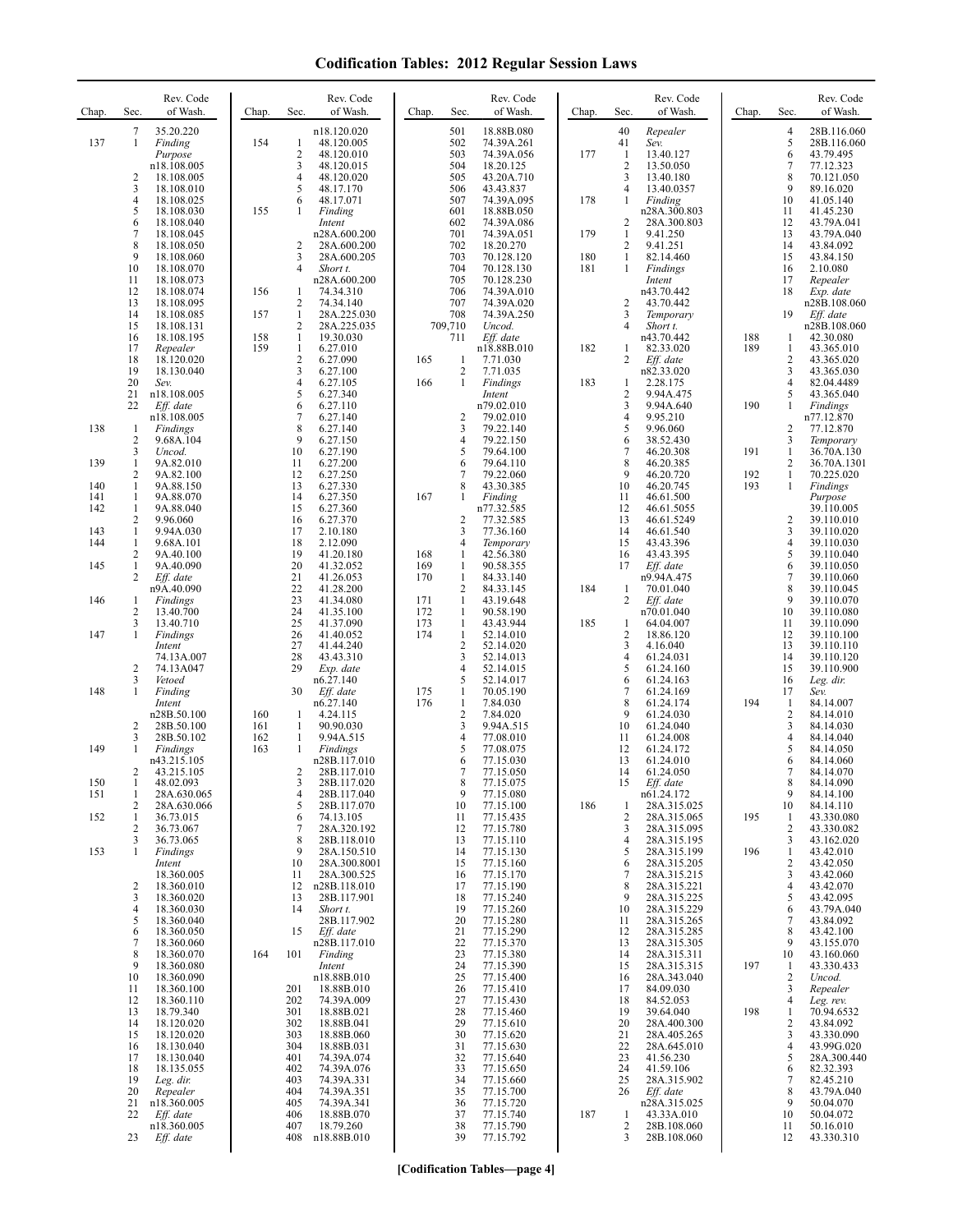| Chap.             | Sec.                               | Rev. Code<br>of Wash.                                              | Chap.      | Sec.                                                   | Rev. Code<br>of Wash.                                                     | Chap.                    | Sec.                                                     | Rev. Code<br>of Wash.                                             | Chap.             | Sec.                                            | Rev. Code<br>of Wash.                                                   | Chap.             | Sec.                                              | Rev. Code<br>of Wash.                                              |
|-------------------|------------------------------------|--------------------------------------------------------------------|------------|--------------------------------------------------------|---------------------------------------------------------------------------|--------------------------|----------------------------------------------------------|-------------------------------------------------------------------|-------------------|-------------------------------------------------|-------------------------------------------------------------------------|-------------------|---------------------------------------------------|--------------------------------------------------------------------|
| 137               | 7<br>1<br>$\overline{c}$           | 35.20.220<br>Finding<br>Purpose<br>n18.108.005<br>18.108.005       | 154        | $\mathbf{1}$<br>$\overline{2}$<br>3<br>$\overline{4}$  | n18.120.020<br>48.120.005<br>48.120.010<br>48.120.015                     |                          | 501<br>502<br>503<br>504<br>505                          | 18.88B.080<br>74.39A.261<br>74.39A.056<br>18.20.125               | 177               | 40<br>41<br>$\mathbf{1}$<br>$\overline{2}$<br>3 | Repealer<br>Sev.<br>13.40.127<br>13.50.050                              |                   | 4<br>5<br>6<br>7<br>8                             | 28B.116.060<br>28B.116.060<br>43.79.495<br>77.12.323<br>70.121.050 |
|                   | 3<br>4<br>5<br>6                   | 18.108.010<br>18.108.025<br>18.108.030<br>18.108.040               | 155        | 5<br>6<br>1                                            | 48.120.020<br>48.17.170<br>48.17.071<br>Finding<br>Intent                 |                          | 506<br>507<br>601<br>602                                 | 43.20A.710<br>43.43.837<br>74.39A.095<br>18.88B.050<br>74.39A.086 | 178               | $\overline{4}$<br>1<br>$\overline{c}$           | 13.40.180<br>13.40.0357<br>Finding<br>n28A.300.803<br>28A.300.803       |                   | 9<br>10<br>11<br>12                               | 89.16.020<br>41.05.140<br>41.45.230<br>43.79A.041                  |
|                   | 7<br>8<br>9<br>10<br>11            | 18.108.045<br>18.108.050<br>18.108.060<br>18.108.070<br>18.108.073 |            | 2<br>3<br>$\overline{4}$                               | n28A.600.200<br>28A.600.200<br>28A.600.205<br>Short t.<br>n28A.600.200    |                          | 701<br>702<br>703<br>704<br>705                          | 74.39A.051<br>18.20.270<br>70.128.120<br>70.128.130<br>70.128.230 | 179<br>180<br>181 | $\mathbf{1}$<br>$\overline{2}$<br>1<br>1        | 9.41.250<br>9.41.251<br>82.14.460<br>Findings<br>Intent                 |                   | 13<br>14<br>15<br>16<br>17                        | 43.79A.040<br>43.84.092<br>43.84.150<br>2.10.080<br>Repealer       |
|                   | 12<br>13<br>14<br>15               | 18.108.074<br>18.108.095<br>18.108.085<br>18.108.131               | 156<br>157 | $\mathbf{1}$<br>2<br>$\mathbf{1}$<br>$\overline{2}$    | 74.34.310<br>74.34.140<br>28A.225.030<br>28A.225.035                      |                          | 706<br>707<br>708<br>709,710                             | 74.39A.010<br>74.39A.020<br>74.39A.250<br>Uncod.                  |                   | $\overline{2}$<br>3<br>$\overline{4}$           | n43.70.442<br>43.70.442<br>Temporary<br>Short t.                        |                   | 18<br>19                                          | Exp. date<br>n28B.108.060<br>Eff. date<br>n28B.108.060             |
|                   | 16<br>17<br>18<br>19<br>20         | 18.108.195<br>Repealer<br>18.120.020<br>18.130.040<br>Sev.         | 158<br>159 | 1<br>$\mathbf{1}$<br>$\sqrt{2}$<br>3<br>$\overline{4}$ | 19.30.030<br>6.27.010<br>6.27.090<br>6.27.100<br>6.27.105                 | 165<br>166               | 711<br>1<br>2<br>$\mathbf{1}$                            | Eff. date<br>n18.88B.010<br>7.71.030<br>7.71.035<br>Findings      | 182<br>183        | 1<br>2<br>1                                     | n43.70.442<br>82.33.020<br>Eff. date<br>n82.33.020<br>2.28.175          | 188<br>189        | 1<br>1<br>2<br>3<br>$\overline{4}$                | 42.30.080<br>43.365.010<br>43.365.020<br>43.365.030<br>82.04.4489  |
| 138               | 21<br>22<br>-1<br>$\overline{c}$   | n18.108.005<br>Eff. date<br>n18.108.005<br>Findings<br>9.68A.104   |            | 5<br>6<br>7<br>8<br>9                                  | 6.27.340<br>6.27.110<br>6.27.140<br>6.27.140<br>6.27.150                  |                          | $\overline{c}$<br>3<br>4                                 | Intent<br>n79.02.010<br>79.02.010<br>79.22.140<br>79.22.150       |                   | $\overline{2}$<br>3<br>$\overline{4}$<br>5<br>6 | 9.94A.475<br>9.94A.640<br>9.95.210<br>9.96.060<br>38.52.430             | 190               | 5<br>$\mathbf{1}$<br>2<br>3                       | 43.365.040<br>Findings<br>n77.12.870<br>77.12.870<br>Temporary     |
| 139<br>140<br>141 | 3<br>1<br>$\overline{c}$<br>1<br>1 | Uncod.<br>9A.82.010<br>9A.82.100<br>9A.88.150<br>9A.88.070         |            | 10<br>11<br>12<br>13<br>14                             | 6.27.190<br>6.27.200<br>6.27.250<br>6.27.330<br>6.27.350                  | 167                      | 5<br>6<br>7<br>8<br>1                                    | 79.64.100<br>79.64.110<br>79.22.060<br>43.30.385<br>Finding       |                   | $\tau$<br>8<br>9<br>10<br>11                    | 46.20.308<br>46.20.385<br>46.20.720<br>46.20.745<br>46.61.500           | 191<br>192<br>193 | $\mathbf{1}$<br>2<br>$\mathbf{1}$<br>$\mathbf{1}$ | 36.70A.130<br>36.70A.1301<br>70.225.020<br>Findings<br>Purpose     |
| 142<br>143<br>144 | 1<br>2<br>1<br>1<br>2              | 9A.88.040<br>9.96.060<br>9.94A.030<br>9.68A.101<br>9A.40.100       |            | 15<br>16<br>17<br>18<br>19                             | 6.27.360<br>6.27.370<br>2.10.180<br>2.12.090<br>41.20.180                 | 168                      | $\overline{c}$<br>3<br>4<br>1                            | n77.32.585<br>77.32.585<br>77.36.160<br>Temporary<br>42.56.380    |                   | 12<br>13<br>14<br>15<br>16                      | 46.61.5055<br>46.61.5249<br>46.61.540<br>43.43.396<br>43.43.395         |                   | 2<br>3<br>4<br>5                                  | 39.110.005<br>39.110.010<br>39.110.020<br>39.110.030<br>39.110.040 |
| 145<br>146        | 1<br>2<br>1<br>2                   | 9A.40.090<br>Eff. date<br>n9A.40.090<br>Findings<br>13.40.700      |            | 20<br>21<br>22<br>23<br>24                             | 41.32.052<br>41.26.053<br>41.28.200<br>41.34.080<br>41.35.100             | 169<br>170<br>171<br>172 | 1<br>$\mathbf{1}$<br>$\overline{c}$<br>$\mathbf{1}$<br>1 | 90.58.355<br>84.33.140<br>84.33.145<br>43.19.648<br>90.58.190     | 184               | 17<br>-1<br>$\overline{c}$                      | Eff. date<br>n9.94A.475<br>70.01.040<br>Eff. date<br>n70.01.040         |                   | 6<br>$\tau$<br>8<br>9<br>10                       | 39.110.050<br>39.110.060<br>39.110.045<br>39.110.070<br>39.110.080 |
| 147               | 3<br>1<br>$\overline{c}$           | 13.40.710<br>Findings<br>Intent<br>74.13A.007<br>74.13A047         |            | 25<br>26<br>27<br>28<br>29                             | 41.37.090<br>41.40.052<br>41.44.240<br>43.43.310<br>Exp. date             | 173<br>174               | $\mathbf{1}$<br>$\mathbf{1}$<br>$\overline{c}$<br>3<br>4 | 43.43.944<br>52.14.010<br>52.14.020<br>52.14.013<br>52.14.015     | 185               | 1<br>$\overline{2}$<br>3<br>$\overline{4}$<br>5 | 64.04.007<br>18.86.120<br>4.16.040<br>61.24.031<br>61.24.160            |                   | 11<br>12<br>13<br>14<br>15                        | 39.110.090<br>39.110.100<br>39.110.110<br>39.110.120<br>39.110.900 |
| 148               | 3<br>1<br>$\overline{2}$           | Vetoed<br>Finding<br>Intent<br>n28B.50.100<br>28B.50.100           | 160<br>161 | 30<br>1<br>1                                           | n6.27.140<br>Eff. date<br>n6.27.140<br>4.24.115<br>90.90.030              | 175<br>176               | 5<br>1<br>$\mathbf{1}$<br>$\overline{2}$<br>3            | 52.14.017<br>70.05.190<br>7.84.030<br>7.84.020<br>9.94A.515       |                   | 6<br>$\overline{7}$<br>8<br>9<br>10             | 61.24.163<br>61.24.169<br>61.24.174<br>61.24.030<br>61.24.040           | 194               | 16<br>17<br>1<br>2<br>3                           | Leg. dir.<br>Sev.<br>84.14.007<br>84.14.010<br>84.14.030           |
| 149<br>150        | 3<br>1<br>2<br>-1                  | 28B.50.102<br>Findings<br>n43.215.105<br>43.215.105<br>48.02.093   | 162<br>163 | $\mathbf{1}$<br>1<br>2<br>3                            | 9.94A.515<br>Findings<br>n28B.117.010<br>28B.117.010<br>28B.117.020       |                          | 4<br>5<br>6<br>7<br>8                                    | 77.08.010<br>77.08.075<br>77.15.030<br>77.15.050<br>77.15.075     |                   | 11<br>12<br>13<br>14<br>15                      | 61.24.008<br>61.24.172<br>61.24.010<br>61.24.050<br>Eff. date           |                   | 4<br>5<br>6<br>7<br>8                             | 84.14.040<br>84.14.050<br>84.14.060<br>84.14.070<br>84.14.090      |
| 151<br>152        | 1<br>2<br>1<br>2<br>3              | 28A.630.065<br>28A.630.066<br>36.73.015<br>36.73.067<br>36.73.065  |            | 4<br>5<br>6<br>$\overline{7}$<br>8                     | 28B.117.040<br>28B.117.070<br>74.13.105<br>28A.320.192<br>28B.118.010     |                          | 9<br>10<br>11<br>12<br>13                                | 77.15.080<br>77.15.100<br>77.15.435<br>77.15.780<br>77.15.110     | 186               | 1<br>$\overline{2}$<br>3<br>$\overline{4}$      | n61.24.172<br>28A.315.025<br>28A.315.065<br>28A.315.095<br>28A.315.195  | 195               | 9<br>10<br>1<br>2<br>3                            | 84.14.100<br>84.14.110<br>43.330.080<br>43.330.082<br>43.162.020   |
| 153               | 1<br>2<br>3                        | Findings<br>Intent<br>18.360.005<br>18.360.010<br>18.360.020       |            | 9<br>10<br>11<br>12<br>13                              | 28A.150.510<br>28A.300.8001<br>28A.300.525<br>n28B.118.010<br>28B.117.901 |                          | 14<br>15<br>16<br>17<br>18                               | 77.15.130<br>77.15.160<br>77.15.170<br>77.15.190<br>77.15.240     |                   | 5<br>6<br>$\overline{7}$<br>8<br>9              | 28A.315.199<br>28A.315.205<br>28A.315.215<br>28A.315.221<br>28A.315.225 | 196               | $\mathbf{1}$<br>2<br>3<br>4<br>5                  | 43.42.010<br>43.42.050<br>43.42.060<br>43.42.070<br>43.42.095      |
|                   | 4<br>5<br>6<br>7<br>8              | 18.360.030<br>18.360.040<br>18.360.050<br>18.360.060<br>18.360.070 | 164        | 14<br>15<br>101                                        | Short t.<br>28B.117.902<br>Eff. date<br>n28B.117.010<br>Finding           |                          | 19<br>20<br>21<br>22<br>23                               | 77.15.260<br>77.15.280<br>77.15.290<br>77.15.370<br>77.15.380     |                   | 10<br>11<br>12<br>13<br>14                      | 28A.315.229<br>28A.315.265<br>28A.315.285<br>28A.315.305<br>28A.315.311 |                   | 6<br>7<br>8<br>9<br>10                            | 43.79A.040<br>43.84.092<br>43.42.100<br>43.155.070<br>43.160.060   |
|                   | 9<br>10<br>11<br>12                | 18.360.080<br>18.360.090<br>18.360.100<br>18.360.110               |            | 201<br>202                                             | Intent<br>n18.88B.010<br>18.88B.010<br>74.39A.009                         |                          | 24<br>25<br>26<br>27                                     | 77.15.390<br>77.15.400<br>77.15.410<br>77.15.430                  |                   | 15<br>16<br>17<br>18                            | 28A.315.315<br>28A.343.040<br>84.09.030<br>84.52.053                    | 197               | -1<br>2<br>3<br>4                                 | 43.330.433<br>Uncod.<br>Repealer<br>Leg. rev.                      |
|                   | 13<br>14<br>15<br>16<br>17         | 18.79.340<br>18.120.020<br>18.120.020<br>18.130.040<br>18.130.040  |            | 301<br>302<br>303<br>304<br>401                        | 18.88B.021<br>18.88B.041<br>18.88B.060<br>18.88B.031<br>74.39A.074        |                          | 28<br>29<br>30<br>31<br>32                               | 77.15.460<br>77.15.610<br>77.15.620<br>77.15.630<br>77.15.640     |                   | 19<br>20<br>21<br>22<br>23                      | 39.64.040<br>28A.400.300<br>28A.405.265<br>28A.645.010<br>41.56.230     | 198               | 1<br>2<br>3<br>4<br>5                             | 70.94.6532<br>43.84.092<br>43.330.090<br>43.99G.020<br>28A.300.440 |
|                   | 18<br>19<br>20<br>21<br>22         | 18.135.055<br>Leg. dir.<br>Repealer<br>n18.360.005<br>Eff. date    |            | 402<br>403<br>404<br>405<br>406                        | 74.39A.076<br>74.39A.331<br>74.39A.351<br>74.39A.341<br>18.88B.070        |                          | 33<br>34<br>35<br>36<br>37                               | 77.15.650<br>77.15.660<br>77.15.700<br>77.15.720<br>77.15.740     | 187               | 24<br>25<br>26<br>$\mathbf{1}$                  | 41.59.106<br>28A.315.902<br>Eff. date<br>n28A.315.025<br>43.33A.010     |                   | 6<br>7<br>8<br>9<br>10                            | 82.32.393<br>82.45.210<br>43.79A.040<br>50.04.070<br>50.04.072     |
|                   | 23                                 | n18.360.005<br>Eff. date                                           |            | 407<br>408                                             | 18.79.260<br>n18.88B.010                                                  |                          | 38<br>39                                                 | 77.15.790<br>77.15.792                                            |                   | $\overline{c}$<br>3                             | 28B.108.060<br>28B.108.060                                              |                   | 11<br>12                                          | 50.16.010<br>43.330.310                                            |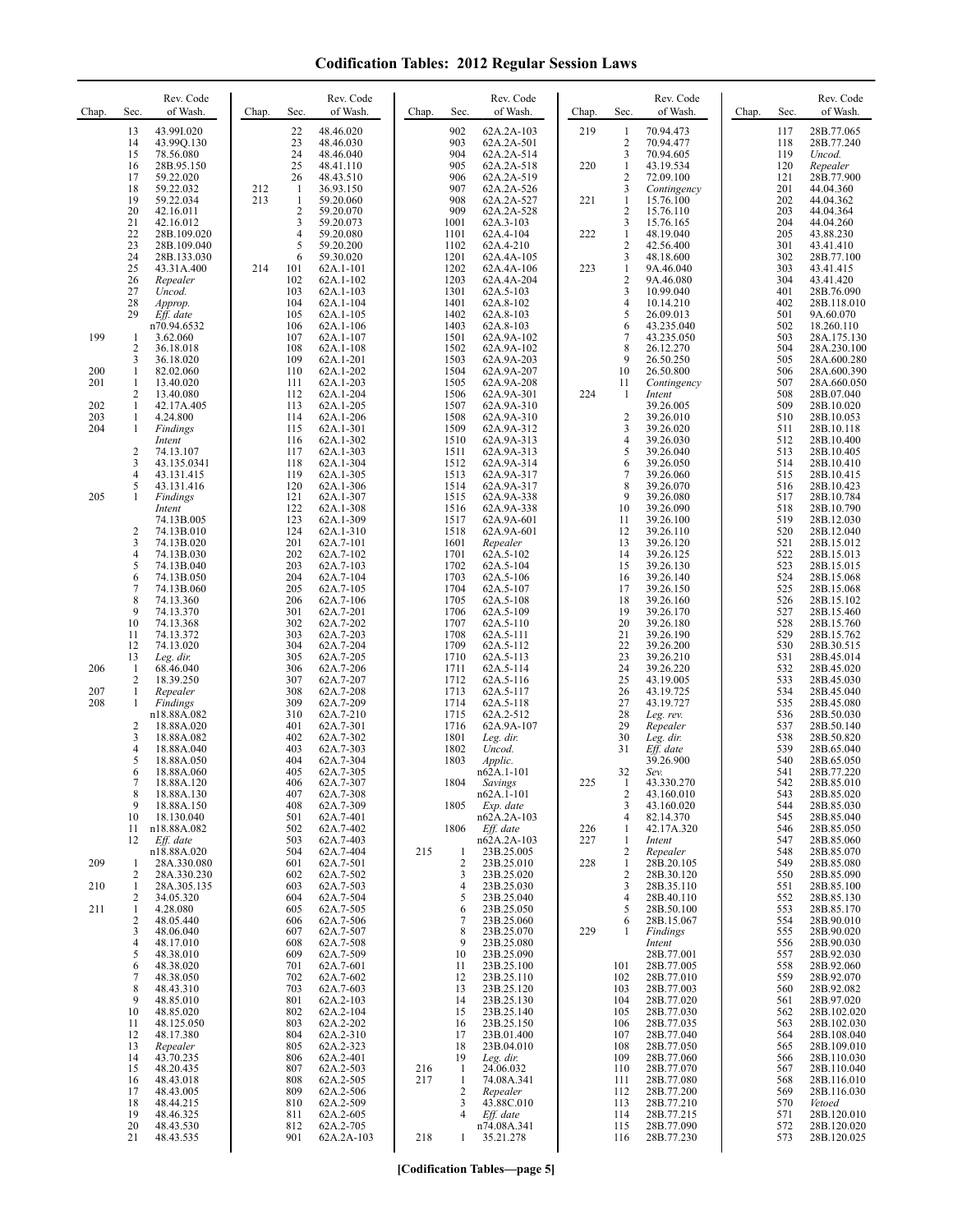| Chap.      | Sec.                                  | Rev. Code<br>of Wash.                   | Chap. | Sec.                           | Rev. Code<br>of Wash.               | Chap. | Sec.                           | Rev. Code<br>of Wash.                                | Chap.      | Sec.                              | Rev. Code<br>of Wash.                  | Chap. | Sec.              | Rev. Code<br>of Wash.                     |
|------------|---------------------------------------|-----------------------------------------|-------|--------------------------------|-------------------------------------|-------|--------------------------------|------------------------------------------------------|------------|-----------------------------------|----------------------------------------|-------|-------------------|-------------------------------------------|
|            | 13<br>14<br>15                        | 43.99I.020<br>43.99Q.130<br>78.56.080   |       | 22<br>23<br>24<br>25           | 48.46.020<br>48.46.030<br>48.46.040 |       | 902<br>903<br>904<br>905       | 62A.2A-103<br>62A.2A-501<br>62A.2A-514<br>62A.2A-518 | 219        | 1<br>$\overline{2}$<br>3          | 70.94.473<br>70.94.477<br>70.94.605    |       | 117<br>118<br>119 | 28B.77.065<br>28B.77.240<br>Uncod.        |
|            | 16<br>17<br>18                        | 28B.95.150<br>59.22.020<br>59.22.032    | 212   | 26<br>-1                       | 48.41.110<br>48.43.510<br>36.93.150 |       | 906<br>907                     | 62A.2A-519<br>62A.2A-526                             | 220        | 1<br>$\overline{\mathbf{c}}$<br>3 | 43.19.534<br>72.09.100<br>Contingency  |       | 120<br>121<br>201 | Repealer<br>28B.77.900<br>44.04.360       |
|            | 19<br>20                              | 59.22.034<br>42.16.011                  | 213   | $\mathbf{1}$<br>$\overline{c}$ | 59.20.060<br>59.20.070              |       | 908<br>909                     | 62A.2A-527<br>62A.2A-528                             | 221        | 1<br>2                            | 15.76.100<br>15.76.110                 |       | 202<br>203        | 44.04.362<br>44.04.364                    |
|            | 21<br>22<br>23                        | 42.16.012<br>28B.109.020<br>28B.109.040 |       | 3<br>$\overline{4}$<br>5       | 59.20.073<br>59.20.080<br>59.20.200 |       | 1001<br>1101<br>1102           | 62A.3-103<br>62A.4-104<br>62A.4-210                  | 222        | 3<br>1<br>2                       | 15.76.165<br>48.19.040<br>42.56.400    |       | 204<br>205<br>301 | 44.04.260<br>43.88.230<br>43.41.410       |
|            | 24<br>25                              | 28B.133.030<br>43.31A.400               | 214   | 6<br>101                       | 59.30.020<br>62A.1-101              |       | 1201<br>1202                   | 62A.4A-105<br>62A.4A-106                             | 223        | 3<br>1                            | 48.18.600<br>9A.46.040                 |       | 302<br>303        | 28B.77.100<br>43.41.415                   |
|            | 26<br>27<br>28                        | Repealer<br>Uncod.<br>Approp.           |       | 102<br>103<br>104              | 62A.1-102<br>62A.1-103<br>62A.1-104 |       | 1203<br>1301<br>1401           | 62A.4A-204<br>62A.5-103<br>62A.8-102                 |            | $\overline{\mathbf{c}}$<br>3<br>4 | 9A.46.080<br>10.99.040<br>10.14.210    |       | 304<br>401<br>402 | 43.41.420<br>28B.76.090<br>28B.118.010    |
|            | 29                                    | Eff. date<br>n70.94.6532                |       | 105<br>106                     | 62A.1-105<br>62A.1-106              |       | 1402<br>1403                   | 62A.8-103<br>62A.8-103                               |            | 5<br>6                            | 26.09.013<br>43.235.040                |       | 501<br>502        | 9A.60.070<br>18.260.110                   |
| 199        | 1<br>$\overline{2}$<br>3              | 3.62.060<br>36.18.018                   |       | 107<br>108<br>109              | 62A.1-107<br>62A.1-108              |       | 1501<br>1502<br>1503           | 62A.9A-102<br>62A.9A-102                             |            | 7<br>8<br>9                       | 43.235.050<br>26.12.270                |       | 503<br>504<br>505 | 28A.175.130<br>28A.230.100                |
| 200<br>201 | $\mathbf{1}$<br>$\mathbf{1}$          | 36.18.020<br>82.02.060<br>13.40.020     |       | 110<br>111                     | 62A.1-201<br>62A.1-202<br>62A.1-203 |       | 1504<br>1505                   | 62A.9A-203<br>62A.9A-207<br>62A.9A-208               |            | 10<br>11                          | 26.50.250<br>26.50.800<br>Contingency  |       | 506<br>507        | 28A.600.280<br>28A.600.390<br>28A.660.050 |
| 202        | $\overline{2}$<br>$\mathbf{1}$        | 13.40.080<br>42.17A.405                 |       | 112<br>113                     | 62A.1-204<br>62A.1-205              |       | 1506<br>1507                   | 62A.9A-301<br>62A.9A-310                             | 224        | -1                                | Intent<br>39.26.005                    |       | 508<br>509        | 28B.07.040<br>28B.10.020                  |
| 203<br>204 | 1<br>-1                               | 4.24.800<br>Findings<br>Intent          |       | 114<br>115<br>116              | 62A.1-206<br>62A.1-301<br>62A.1-302 |       | 1508<br>1509<br>1510           | 62A.9A-310<br>62A.9A-312<br>62A.9A-313               |            | $\overline{2}$<br>3<br>4          | 39.26.010<br>39.26.020<br>39.26.030    |       | 510<br>511<br>512 | 28B.10.053<br>28B.10.118<br>28B.10.400    |
|            | $\overline{c}$<br>3                   | 74.13.107<br>43.135.0341                |       | 117<br>118                     | 62A.1-303<br>62A.1-304              |       | 1511<br>1512                   | 62A.9A-313<br>62A.9A-314                             |            | 5<br>6<br>$\overline{7}$          | 39.26.040<br>39.26.050                 |       | 513<br>514        | 28B.10.405<br>28B.10.410                  |
| 205        | $\overline{4}$<br>5<br>1              | 43.131.415<br>43.131.416<br>Findings    |       | 119<br>120<br>121              | 62A.1-305<br>62A.1-306<br>62A.1-307 |       | 1513<br>1514<br>1515           | 62A.9A-317<br>62A.9A-317<br>62A.9A-338               |            | 8<br>9                            | 39.26.060<br>39.26.070<br>39.26.080    |       | 515<br>516<br>517 | 28B.10.415<br>28B.10.423<br>28B.10.784    |
|            |                                       | Intent<br>74.13B.005                    |       | 122<br>123                     | 62A.1-308<br>62A.1-309              |       | 1516<br>1517                   | 62A.9A-338<br>62A.9A-601                             |            | 10<br>11                          | 39.26.090<br>39.26.100                 |       | 518<br>519        | 28B.10.790<br>28B.12.030                  |
|            | $\overline{c}$<br>3<br>$\overline{4}$ | 74.13B.010<br>74.13B.020<br>74.13B.030  |       | 124<br>201<br>202              | 62A.1-310<br>62A.7-101<br>62A.7-102 |       | 1518<br>1601<br>1701           | 62A.9A-601<br>Repealer<br>62A.5-102                  |            | 12<br>13<br>14                    | 39.26.110<br>39.26.120<br>39.26.125    |       | 520<br>521<br>522 | 28B.12.040<br>28B.15.012<br>28B.15.013    |
|            | 5<br>6                                | 74.13B.040<br>74.13B.050                |       | 203<br>204                     | 62A.7-103<br>62A.7-104              |       | 1702<br>1703                   | 62A.5-104<br>62A.5-106                               |            | 15<br>16                          | 39.26.130<br>39.26.140                 |       | 523<br>524        | 28B.15.015<br>28B.15.068                  |
|            | 7<br>8<br>9                           | 74.13B.060<br>74.13.360<br>74.13.370    |       | 205<br>206<br>301              | 62A.7-105<br>62A.7-106<br>62A.7-201 |       | 1704<br>1705<br>1706           | 62A.5-107<br>62A.5-108<br>62A.5-109                  |            | 17<br>18<br>19                    | 39.26.150<br>39.26.160<br>39.26.170    |       | 525<br>526<br>527 | 28B.15.068<br>28B.15.102<br>28B.15.460    |
|            | 10<br>11                              | 74.13.368<br>74.13.372                  |       | 302<br>303                     | 62A.7-202<br>62A.7-203              |       | 1707<br>1708                   | 62A.5-110<br>62A.5-111                               |            | 20<br>21                          | 39.26.180<br>39.26.190                 |       | 528<br>529        | 28B.15.760<br>28B.15.762                  |
| 206        | 12<br>13<br>-1                        | 74.13.020<br>Leg. dir.<br>68.46.040     |       | 304<br>305<br>306              | 62A.7-204<br>62A.7-205<br>62A.7-206 |       | 1709<br>1710<br>1711           | 62A.5-112<br>62A.5-113<br>62A.5-114                  |            | 22<br>23<br>24                    | 39.26.200<br>39.26.210<br>39.26.220    |       | 530<br>531<br>532 | 28B.30.515<br>28B.45.014<br>28B.45.020    |
| 207        | $\overline{2}$<br>$\mathbf{1}$        | 18.39.250<br>Repealer                   |       | 307<br>308                     | 62A.7-207<br>62A.7-208              |       | 1712<br>1713                   | 62A.5-116<br>62A.5-117                               |            | 25<br>26                          | 43.19.005<br>43.19.725                 |       | 533<br>534        | 28B.45.030<br>28B.45.040                  |
| 208        | 1<br>$\overline{c}$                   | Findings<br>n18.88A.082<br>18.88A.020   |       | 309<br>310<br>401              | 62A.7-209<br>62A.7-210<br>62A.7-301 |       | 1714<br>1715<br>1716           | 62A.5-118<br>62A.2-512<br>62A.9A-107                 |            | 27<br>28<br>29                    | 43.19.727<br>Leg. rev.<br>Repealer     |       | 535<br>536<br>537 | 28B.45.080<br>28B.50.030<br>28B.50.140    |
|            | $\overline{3}$<br>$\overline{4}$      | 18.88A.082<br>18.88A.040                |       | 402<br>403                     | 62A.7-302<br>62A.7-303              |       | 1801<br>1802                   | Leg. dir.<br>Uncod.                                  |            | 30<br>31                          | Leg. dir.<br>Eff. date                 |       | 538<br>539        | 28B.50.820<br>28B.65.040                  |
|            | 5<br>6<br>7                           | 18.88A.050<br>18.88A.060<br>18.88A.120  |       | 404<br>405<br>406              | 62A.7-304<br>62A.7-305<br>62A.7-307 |       | 1803<br>1804                   | Applic.<br>$n62A.1-101$<br>Savings                   | 225        | 32<br>1                           | 39.26.900<br>Sev.<br>43.330.270        |       | 540<br>541<br>542 | 28B.65.050<br>28B.77.220<br>28B.85.010    |
|            | 8<br>9                                | 18.88A.130<br>18.88A.150                |       | 407<br>408                     | 62A.7-308<br>62A.7-309              |       | 1805                           | $n62A.1-101$<br>Exp. date                            |            | 2<br>3                            | 43.160.010<br>43.160.020               |       | 543<br>544        | 28B.85.020<br>28B.85.030                  |
|            | 10<br>11<br>12                        | 18.130.040<br>n18.88A.082<br>Eff. date  |       | 501<br>502<br>503              | 62A.7-401<br>62A.7-402<br>62A.7-403 |       | 1806                           | n62A.2A-103<br>Eff. date<br>n62A.2A-103              | 226<br>227 | 4<br>1<br>1                       | 82.14.370<br>42.17A.320<br>Intent      |       | 545<br>546<br>547 | 28B.85.040<br>28B.85.050<br>28B.85.060    |
| 209        | $\mathbf{1}$                          | n18.88A.020<br>28A.330.080              |       | 504<br>601                     | 62A.7-404<br>62A.7-501              | 215   | 1<br>$\sqrt{2}$                | 23B.25.005<br>23B.25.010                             | 228        | 2<br>1                            | Repealer<br>28B.20.105                 |       | 548<br>549        | 28B.85.070<br>28B.85.080                  |
| 210        | 2<br>1<br>2                           | 28A.330.230<br>28A.305.135<br>34.05.320 |       | 602<br>603<br>604              | 62A.7-502<br>62A.7-503<br>62A.7-504 |       | 3<br>4<br>5                    | 23B.25.020<br>23B.25.030<br>23B.25.040               |            | 2<br>3<br>4                       | 28B.30.120<br>28B.35.110<br>28B.40.110 |       | 550<br>551<br>552 | 28B.85.090<br>28B.85.100<br>28B.85.130    |
| 211        | 1<br>$\overline{c}$                   | 4.28.080<br>48.05.440                   |       | 605<br>606                     | 62A.7-505<br>62A.7-506              |       | 6<br>7                         | 23B.25.050<br>23B.25.060                             |            | 5<br>6                            | 28B.50.100<br>28B.15.067               |       | 553<br>554        | 28B.85.170<br>28B.90.010                  |
|            | 3<br>$\overline{4}$<br>5              | 48.06.040<br>48.17.010<br>48.38.010     |       | 607<br>608<br>609              | 62A.7-507<br>62A.7-508<br>62A.7-509 |       | 8<br>9<br>10                   | 23B.25.070<br>23B.25.080<br>23B.25.090               | 229        | 1                                 | Findings<br>Intent<br>28B.77.001       |       | 555<br>556<br>557 | 28B.90.020<br>28B.90.030<br>28B.92.030    |
|            | 6<br>7                                | 48.38.020<br>48.38.050                  |       | 701<br>702                     | 62A.7-601<br>62A.7-602              |       | 11<br>12                       | 23B.25.100<br>23B.25.110                             |            | 101<br>102                        | 28B.77.005<br>28B.77.010               |       | 558<br>559        | 28B.92.060<br>28B.92.070                  |
|            | 8<br>9<br>10                          | 48.43.310<br>48.85.010<br>48.85.020     |       | 703<br>801<br>802              | 62A.7-603<br>62A.2-103<br>62A.2-104 |       | 13<br>14<br>15                 | 23B.25.120<br>23B.25.130<br>23B.25.140               |            | 103<br>104<br>105                 | 28B.77.003<br>28B.77.020<br>28B.77.030 |       | 560<br>561<br>562 | 28B.92.082<br>28B.97.020<br>28B.102.020   |
|            | 11<br>12                              | 48.125.050<br>48.17.380                 |       | 803<br>804                     | 62A.2-202<br>62A.2-310              |       | 16<br>17                       | 23B.25.150<br>23B.01.400                             |            | 106<br>107                        | 28B.77.035<br>28B.77.040               |       | 563<br>564        | 28B.102.030<br>28B.108.040                |
|            | 13<br>14<br>15                        | Repealer<br>43.70.235<br>48.20.435      |       | 805<br>806<br>807              | 62A.2-323<br>62A.2-401<br>62A.2-503 | 216   | 18<br>19<br>-1                 | 23B.04.010<br>Leg. dir.<br>24.06.032                 |            | 108<br>109<br>110                 | 28B.77.050<br>28B.77.060<br>28B.77.070 |       | 565<br>566<br>567 | 28B.109.010<br>28B.110.030<br>28B.110.040 |
|            | 16<br>17                              | 48.43.018<br>48.43.005                  |       | 808<br>809                     | 62A.2-505<br>62A.2-506              | 217   | $\mathbf{1}$<br>$\overline{c}$ | 74.08A.341<br>Repealer                               |            | 111<br>112                        | 28B.77.080<br>28B.77.200               |       | 568<br>569        | 28B.116.010<br>28B.116.030                |
|            | 18<br>19<br>20                        | 48.44.215<br>48.46.325<br>48.43.530     |       | 810<br>811<br>812              | 62A.2-509<br>62A.2-605<br>62A.2-705 |       | 3<br>4                         | 43.88C.010<br>Eff. date<br>n74.08A.341               |            | 113<br>114<br>115                 | 28B.77.210<br>28B.77.215<br>28B.77.090 |       | 570<br>571<br>572 | Vetoed<br>28B.120.010<br>28B.120.020      |
|            | 21                                    | 48.43.535                               |       | 901                            | 62A.2A-103                          | 218   | 1                              | 35.21.278                                            |            | 116                               | 28B.77.230                             |       | 573               | 28B.120.025                               |

**[Codification Tables—page 5]**